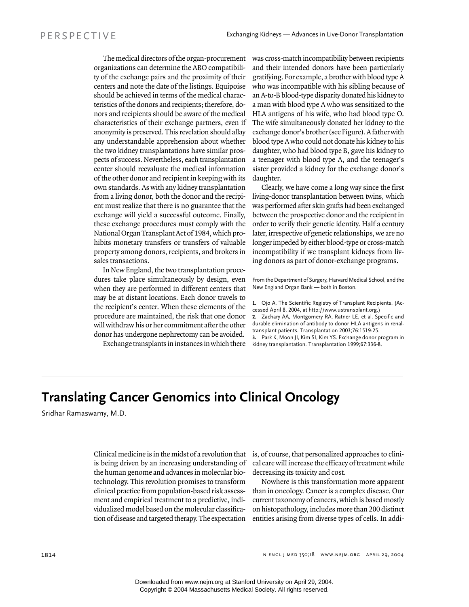The medical directors of the organ-procurement organizations can determine the ABO compatibility of the exchange pairs and the proximity of their centers and note the date of the listings. Equipoise should be achieved in terms of the medical characteristics of the donors and recipients; therefore, donors and recipients should be aware of the medical characteristics of their exchange partners, even if anonymity is preserved. This revelation should allay any understandable apprehension about whether the two kidney transplantations have similar prospects of success. Nevertheless, each transplantation center should reevaluate the medical information of the other donor and recipient in keeping with its own standards. As with any kidney transplantation from a living donor, both the donor and the recipient must realize that there is no guarantee that the exchange will yield a successful outcome. Finally, these exchange procedures must comply with the National Organ Transplant Act of 1984, which prohibits monetary transfers or transfers of valuable property among donors, recipients, and brokers in sales transactions.

In New England, the two transplantation procedures take place simultaneously by design, even when they are performed in different centers that may be at distant locations. Each donor travels to the recipient's center. When these elements of the procedure are maintained, the risk that one donor will withdraw his or her commitment after the other donor has undergone nephrectomy can be avoided.

Exchange transplants in instances in which there

was cross-match incompatibility between recipients and their intended donors have been particularly gratifying. For example, a brother with blood type A who was incompatible with his sibling because of an A-to-B blood-type disparity donated his kidney to a man with blood type A who was sensitized to the HLA antigens of his wife, who had blood type O. The wife simultaneously donated her kidney to the exchange donor's brother (see Figure). A father with blood type A who could not donate his kidney to his daughter, who had blood type B, gave his kidney to a teenager with blood type A, and the teenager's sister provided a kidney for the exchange donor's daughter.

Clearly, we have come a long way since the first living-donor transplantation between twins, which was performed after skin grafts had been exchanged between the prospective donor and the recipient in order to verify their genetic identity. Half a century later, irrespective of genetic relationships, we are no longer impeded by either blood-type or cross-match incompatibility if we transplant kidneys from living donors as part of donor-exchange programs.

From the Department of Surgery, Harvard Medical School, and the New England Organ Bank — both in Boston.

**1.** Ojo A. The Scientific Registry of Transplant Recipients. (Accessed April 8, 2004, at http://www.ustransplant.org.) **2.** Zachary AA, Montgomery RA, Ratner LE, et al. Specific and durable elimination of antibody to donor HLA antigens in renaltransplant patients. Transplantation 2003;76:1519-25.

**3.** Park K, Moon JI, Kim SI, Kim YS. Exchange donor program in kidney transplantation. Transplantation 1999;67:336-8.

## **Translating Cancer Genomics into Clinical Oncology**

Sridhar Ramaswamy, M.D.

Clinical medicine is in the midst of a revolution that is being driven by an increasing understanding of the human genome and advances in molecular biotechnology. This revolution promises to transform clinical practice from population-based risk assessment and empirical treatment to a predictive, individualized model based on the molecular classification of disease and targeted therapy. The expectation

is, of course, that personalized approaches to clinical care will increase the efficacy of treatment while decreasing its toxicity and cost.

Nowhere is this transformation more apparent than in oncology. Cancer is a complex disease. Our current taxonomy of cancers, which is based mostly on histopathology, includes more than 200 distinct entities arising from diverse types of cells. In addi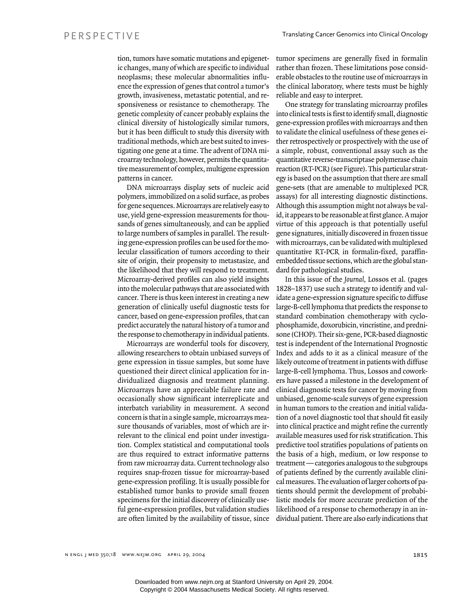tion, tumors have somatic mutations and epigenetic changes, many of which are specific to individual neoplasms; these molecular abnormalities influence the expression of genes that control a tumor's growth, invasiveness, metastatic potential, and responsiveness or resistance to chemotherapy. The genetic complexity of cancer probably explains the clinical diversity of histologically similar tumors, but it has been difficult to study this diversity with traditional methods, which are best suited to investigating one gene at a time. The advent of DNA microarray technology, however, permits the quantitative measurement of complex, multigene expression patterns in cancer.

DNA microarrays display sets of nucleic acid polymers, immobilized on a solid surface, as probes for gene sequences. Microarrays are relatively easy to use, yield gene-expression measurements for thousands of genes simultaneously, and can be applied to large numbers of samples in parallel. The resulting gene-expression profiles can be used for the molecular classification of tumors according to their site of origin, their propensity to metastasize, and the likelihood that they will respond to treatment. Microarray-derived profiles can also yield insights into the molecular pathways that are associated with cancer. There is thus keen interest in creating a new generation of clinically useful diagnostic tests for cancer, based on gene-expression profiles, that can predict accurately the natural history of a tumor and the response to chemotherapy in individual patients.

Microarrays are wonderful tools for discovery, allowing researchers to obtain unbiased surveys of gene expression in tissue samples, but some have questioned their direct clinical application for individualized diagnosis and treatment planning. Microarrays have an appreciable failure rate and occasionally show significant interreplicate and interbatch variability in measurement. A second concern is that in a single sample, microarrays measure thousands of variables, most of which are irrelevant to the clinical end point under investigation. Complex statistical and computational tools are thus required to extract informative patterns from raw microarray data. Current technology also requires snap-frozen tissue for microarray-based gene-expression profiling. It is usually possible for established tumor banks to provide small frozen specimens for the initial discovery of clinically useful gene-expression profiles, but validation studies are often limited by the availability of tissue, since

tumor specimens are generally fixed in formalin rather than frozen. These limitations pose considerable obstacles to the routine use of microarrays in the clinical laboratory, where tests must be highly reliable and easy to interpret.

One strategy for translating microarray profiles into clinical tests is first to identify small, diagnostic gene-expression profiles with microarrays and then to validate the clinical usefulness of these genes either retrospectively or prospectively with the use of a simple, robust, conventional assay such as the quantitative reverse-transcriptase polymerase chain reaction (RT-PCR) (see Figure). This particular strategy is based on the assumption that there are small gene-sets (that are amenable to multiplexed PCR assays) for all interesting diagnostic distinctions. Although this assumption might not always be valid, it appears to be reasonable at first glance. A major virtue of this approach is that potentially useful gene signatures, initially discovered in frozen tissue with microarrays, can be validated with multiplexed quantitative RT-PCR in formalin-fixed, paraffinembedded tissue sections, which are the global standard for pathological studies.

In this issue of the *Journal*, Lossos et al. (pages 1828–1837) use such a strategy to identify and validate a gene-expression signature specific to diffuse large-B-cell lymphoma that predicts the response to standard combination chemotherapy with cyclophosphamide, doxorubicin, vincristine, and prednisone (CHOP). Their six-gene, PCR-based diagnostic test is independent of the International Prognostic Index and adds to it as a clinical measure of the likely outcome of treatment in patients with diffuse large-B-cell lymphoma. Thus, Lossos and coworkers have passed a milestone in the development of clinical diagnostic tests for cancer by moving from unbiased, genome-scale surveys of gene expression in human tumors to the creation and initial validation of a novel diagnostic tool that should fit easily into clinical practice and might refine the currently available measures used for risk stratification. This predictive tool stratifies populations of patients on the basis of a high, medium, or low response to treatment — categories analogous to the subgroups of patients defined by the currently available clinical measures. The evaluation of larger cohorts of patients should permit the development of probabilistic models for more accurate prediction of the likelihood of a response to chemotherapy in an individual patient. There are also early indications that